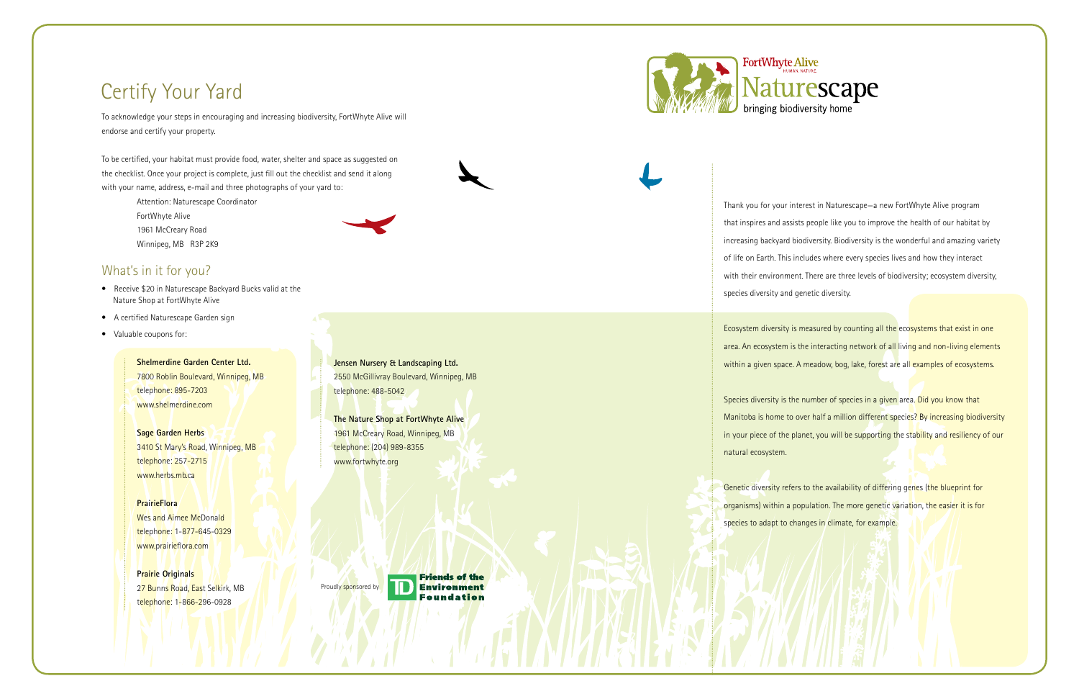To acknowledge your steps in encouraging and increasing biodiversity, FortWhyte Alive will endorse and certify your property.

To be certified, your habitat must provide food, water, shelter and space as suggested on the checklist. Once your project is complete, just fill out the checklist and send it along with your name, address, e-mail and three photographs of your yard to:

- Attention: Naturescape Coordinator
- FortWhyte Alive
- 1961 McCreary Road
- Winnipeg, MB R3P 2K9



### What's in it for you?

- Receive \$20 in Naturescape Backyard Bucks valid at the Nature Shop at FortWhyte Alive
- A certified Naturescape Garden sign
- Valuable coupons for:

 **Shelmerdine Garden Center Ltd.** 7800 Roblin Boulevard, Winnipeg, MB telephone: 895-7203 www.shelmerdine.com

 **Sage Garden Herbs** 3410 St Mary's Road, Winnipeg, MB telephone: 257-2715 www.herbs.mb.ca

#### **PrairieFlora**

Ecosystem diversity is measured by counting all the ecosystems that exist in one area. An ecosystem is the interacting network of all living and non-living elements within a given space. A meadow, bog, lake, forest are all examples of ecosystems.

 Wes and Aimee McDonald telephone: 1-877-645-0329 www.prairieflora.com

Species diversity is the number of species in a given area. Did you know that Manitoba is home to over half a million different species? By increasing biodiversity in your piece of the planet, you will be supporting the stability and resiliency of our

Genetic diversity refers to the availability of differing genes (the blueprint for organisms) within a population. The more genetic variation, the easier it is for species to adapt to changes in climate, for example.

 **Prairie Originals** 27 Bunns Road, East Selkirk, MB telephone: 1-866-296-0928

 **Jensen Nursery & Landscaping Ltd.** 2550 McGillivray Boulevard, Winnipeg, MB telephone: 488-5042

 **The Nature Shop at FortWhyte Alive** 1961 McCreary Road, Winnipeg, MB telephone: (204) 989-8355 www.fortwhyte.org

Proudly sponsored by

**Friends of the Environment** Foundation



# Certify Your Yard

Thank you for your interest in Naturescape—a new FortWhyte Alive program that inspires and assists people like you to improve the health of our habitat by increasing backyard biodiversity. Biodiversity is the wonderful and amazing variety of life on Earth. This includes where every species lives and how they interact with their environment. There are three levels of biodiversity; ecosystem diversity, species diversity and genetic diversity.

natural ecosystem.